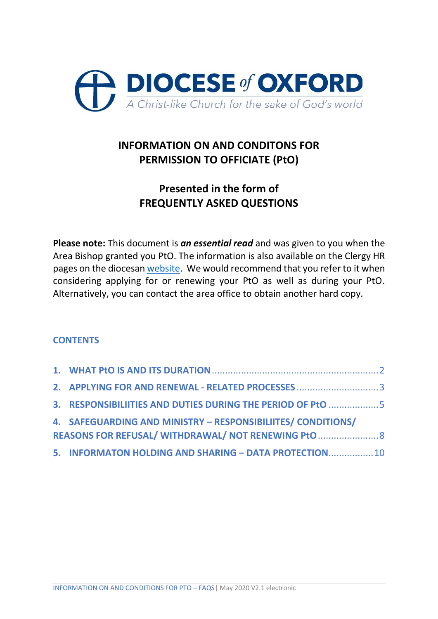

## **INFORMATION ON AND CONDITONS FOR PERMISSION TO OFFICIATE (PtO)**

## **Presented in the form of FREQUENTLY ASKED QUESTIONS**

**Please note:** This document is *an essential read* and was given to you when the Area Bishop granted you PtO. The information is also available on the Clergy HR pages on the diocesan [website.](https://www.oxford.anglican.org/wp-content/uploads/2020/01/HOUSING-RETIREMENT-January-2020-V1.1.pdf) We would recommend that you refer to it when considering applying for or renewing your PtO as well as during your PtO. Alternatively, you can contact the area office to obtain another hard copy.

## **CONTENTS**

| 3. RESPONSIBILIITIES AND DUTIES DURING THE PERIOD OF PtO 5   |  |
|--------------------------------------------------------------|--|
| 4. SAFEGUARDING AND MINISTRY - RESPONSIBILIITES/ CONDITIONS/ |  |
| REASONS FOR REFUSAL/ WITHDRAWAL/ NOT RENEWING PtO  8         |  |
| 5. INFORMATON HOLDING AND SHARING - DATA PROTECTION 10       |  |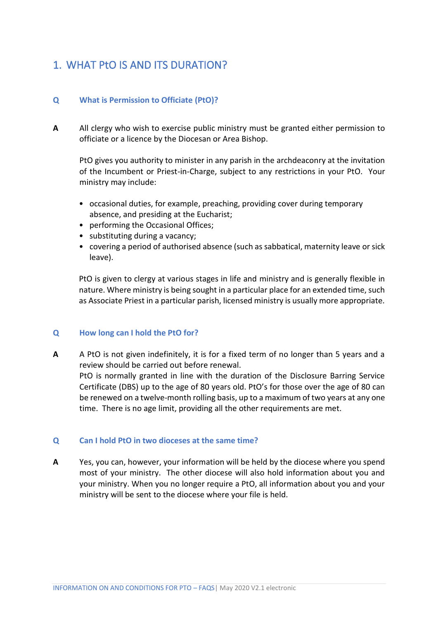## <span id="page-1-0"></span>1. WHAT PtO IS AND ITS DURATION?

### **Q What is Permission to Officiate (PtO)?**

**A** All clergy who wish to exercise public ministry must be granted either permission to officiate or a licence by the Diocesan or Area Bishop.

PtO gives you authority to minister in any parish in the archdeaconry at the invitation of the Incumbent or Priest-in-Charge, subject to any restrictions in your PtO. Your ministry may include:

- occasional duties, for example, preaching, providing cover during temporary absence, and presiding at the Eucharist;
- performing the Occasional Offices;
- substituting during a vacancy;
- covering a period of authorised absence (such as sabbatical, maternity leave or sick leave).

PtO is given to clergy at various stages in life and ministry and is generally flexible in nature. Where ministry is being sought in a particular place for an extended time, such as Associate Priest in a particular parish, licensed ministry is usually more appropriate.

#### **Q How long can I hold the PtO for?**

**A** A PtO is not given indefinitely, it is for a fixed term of no longer than 5 years and a review should be carried out before renewal. PtO is normally granted in line with the duration of the Disclosure Barring Service Certificate (DBS) up to the age of 80 years old. PtO's for those over the age of 80 can be renewed on a twelve-month rolling basis, up to a maximum of two years at any one time. There is no age limit, providing all the other requirements are met.

#### **Q Can I hold PtO in two dioceses at the same time?**

**A** Yes, you can, however, your information will be held by the diocese where you spend most of your ministry. The other diocese will also hold information about you and your ministry. When you no longer require a PtO, all information about you and your ministry will be sent to the diocese where your file is held.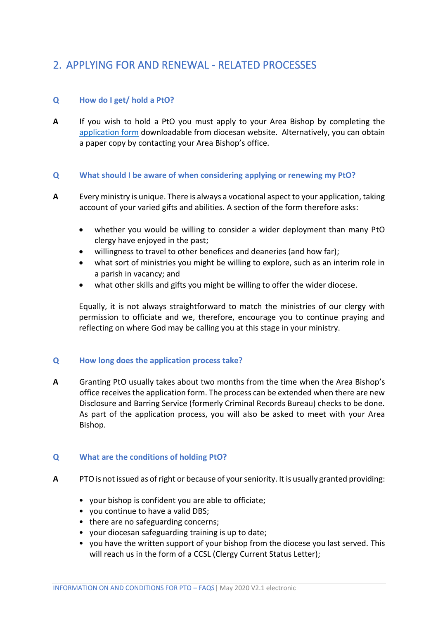## <span id="page-2-0"></span>2. APPLYING FOR AND RENEWAL - RELATED PROCESSES

### **Q How do I get/ hold a PtO?**

**A** If you wish to hold a PtO you must apply to your Area Bishop by completing the [application form](https://www.oxford.anglican.org/wp-content/uploads/2020/01/Application-for-Permission-to-Officiate-January-2020-V1.1.docx) downloadable from diocesan website. Alternatively, you can obtain a paper copy by contacting your Area Bishop's office.

#### **Q What should I be aware of when considering applying or renewing my PtO?**

- **A** Every ministry is unique. There is always a vocational aspect to your application, taking account of your varied gifts and abilities. A section of the form therefore asks:
	- whether you would be willing to consider a wider deployment than many PtO clergy have enjoyed in the past;
	- willingness to travel to other benefices and deaneries (and how far);
	- what sort of ministries you might be willing to explore, such as an interim role in a parish in vacancy; and
	- what other skills and gifts you might be willing to offer the wider diocese.

Equally, it is not always straightforward to match the ministries of our clergy with permission to officiate and we, therefore, encourage you to continue praying and reflecting on where God may be calling you at this stage in your ministry.

#### **Q How long does the application process take?**

**A** Granting PtO usually takes about two months from the time when the Area Bishop's office receives the application form. The process can be extended when there are new Disclosure and Barring Service (formerly Criminal Records Bureau) checks to be done. As part of the application process, you will also be asked to meet with your Area Bishop.

#### **Q What are the conditions of holding PtO?**

- **A** PTO is not issued as of right or because of your seniority. It is usually granted providing:
	- your bishop is confident you are able to officiate;
	- you continue to have a valid DBS;
	- there are no safeguarding concerns;
	- your diocesan safeguarding training is up to date;
	- you have the written support of your bishop from the diocese you last served. This will reach us in the form of a CCSL (Clergy Current Status Letter);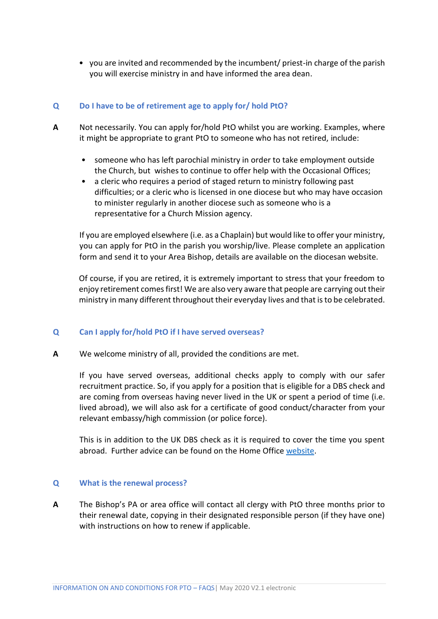• you are invited and recommended by the incumbent/ priest-in charge of the parish you will exercise ministry in and have informed the area dean.

### **Q Do I have to be of retirement age to apply for/ hold PtO?**

- **A** Not necessarily. You can apply for/hold PtO whilst you are working. Examples, where it might be appropriate to grant PtO to someone who has not retired, include:
	- someone who has left parochial ministry in order to take employment outside the Church, but wishes to continue to offer help with the Occasional Offices;
	- a cleric who requires a period of staged return to ministry following past difficulties; or a cleric who is licensed in one diocese but who may have occasion to minister regularly in another diocese such as someone who is a representative for a Church Mission agency.

If you are employed elsewhere (i.e. as a Chaplain) but would like to offer your ministry, you can apply for PtO in the parish you worship/live. Please complete an application form and send it to your Area Bishop, details are available on the diocesan website.

Of course, if you are retired, it is extremely important to stress that your freedom to enjoy retirement comes first! We are also very aware that people are carrying out their ministry in many different throughout their everyday lives and that is to be celebrated.

#### **Q Can I apply for/hold PtO if I have served overseas?**

**A** We welcome ministry of all, provided the conditions are met.

If you have served overseas, additional checks apply to comply with our safer recruitment practice. So, if you apply for a position that is eligible for a DBS check and are coming from overseas having never lived in the UK or spent a period of time (i.e. lived abroad), we will also ask for a certificate of good conduct/character from your relevant embassy/high commission (or police force).

This is in addition to the UK DBS check as it is required to cover the time you spent abroad. Further advice can be found on the Home Office [website.](https://www.gov.uk/government/publications/criminal-records-checks-for-overseas-applicants)

#### **Q What is the renewal process?**

**A** The Bishop's PA or area office will contact all clergy with PtO three months prior to their renewal date, copying in their designated responsible person (if they have one) with instructions on how to renew if applicable.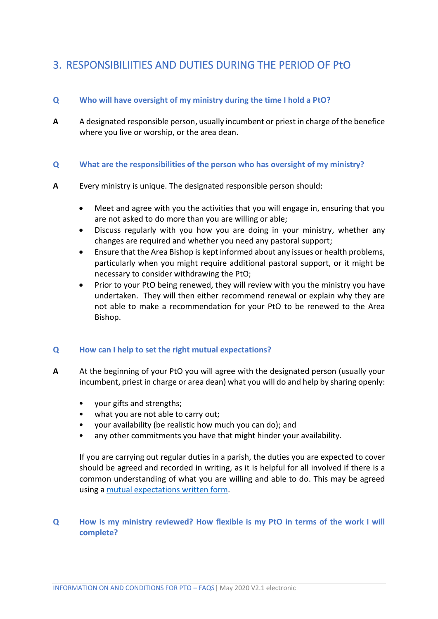## <span id="page-4-0"></span>3. RESPONSIBILIITIES AND DUTIES DURING THE PERIOD OF PtO

## **Q Who will have oversight of my ministry during the time I hold a PtO?**

**A** A designated responsible person, usually incumbent or priest in charge of the benefice where you live or worship, or the area dean.

#### **Q What are the responsibilities of the person who has oversight of my ministry?**

- **A** Every ministry is unique. The designated responsible person should:
	- Meet and agree with you the activities that you will engage in, ensuring that you are not asked to do more than you are willing or able;
	- Discuss regularly with you how you are doing in your ministry, whether any changes are required and whether you need any pastoral support;
	- Ensure that the Area Bishop is kept informed about any issues or health problems, particularly when you might require additional pastoral support, or it might be necessary to consider withdrawing the PtO;
	- Prior to your PtO being renewed, they will review with you the ministry you have undertaken. They will then either recommend renewal or explain why they are not able to make a recommendation for your PtO to be renewed to the Area Bishop.

#### **Q How can I help to set the right mutual expectations?**

- **A** At the beginning of your PtO you will agree with the designated person (usually your incumbent, priest in charge or area dean) what you will do and help by sharing openly:
	- your gifts and strengths;
	- what you are not able to carry out;
	- your availability (be realistic how much you can do); and
	- any other commitments you have that might hinder your availability.

If you are carrying out regular duties in a parish, the duties you are expected to cover should be agreed and recorded in writing, as it is helpful for all involved if there is a common understanding of what you are willing and able to do. This may be agreed using a [mutual expectations written form.](https://www.oxford.anglican.org/wp-content/uploads/2020/01/Mutual-Expectations-Written-Form-January-2020-V1.1.docx)

## **Q How is my ministry reviewed? How flexible is my PtO in terms of the work I will complete?**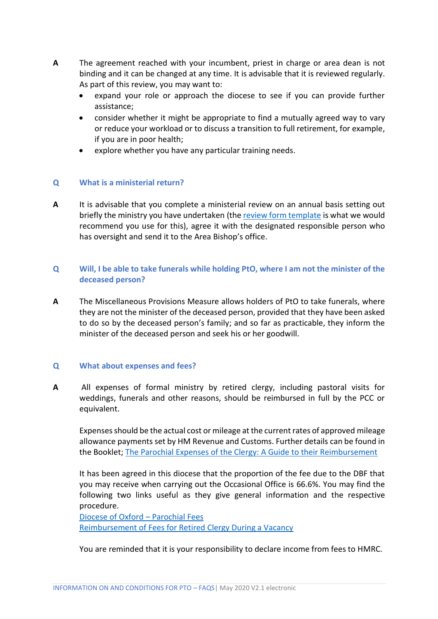- **A** The agreement reached with your incumbent, priest in charge or area dean is not binding and it can be changed at any time. It is advisable that it is reviewed regularly. As part of this review, you may want to:
	- expand your role or approach the diocese to see if you can provide further assistance;
	- consider whether it might be appropriate to find a mutually agreed way to vary or reduce your workload or to discuss a transition to full retirement, for example, if you are in poor health;
	- explore whether you have any particular training needs.

#### **Q What is a ministerial return?**

**A** It is advisable that you complete a ministerial review on an annual basis setting out briefly the ministry you have undertaken (th[e review form template](https://www.oxford.anglican.org/wp-content/uploads/2020/01/Review-Form-Template-January-2020-V1.1.docx) is what we would recommend you use for this), agree it with the designated responsible person who has oversight and send it to the Area Bishop's office.

### **Q Will, I be able to take funerals while holding PtO, where I am not the minister of the deceased person?**

**A** The Miscellaneous Provisions Measure allows holders of PtO to take funerals, where they are not the minister of the deceased person, provided that they have been asked to do so by the deceased person's family; and so far as practicable, they inform the minister of the deceased person and seek his or her goodwill.

#### **Q What about expenses and fees?**

**A** All expenses of formal ministry by retired clergy, including pastoral visits for weddings, funerals and other reasons, should be reimbursed in full by the PCC or equivalent.

Expenses should be the actual cost or mileage at the current rates of approved mileage allowance payments set by HM Revenue and Customs. Further details can be found in the Booklet; [The Parochial Expenses of the Clergy: A Guide to their Reimbursement](https://www.churchofengland.org/sites/default/files/2017-10/Parochial%20Expenses%20Guide%20-%202017.pdf)

It has been agreed in this diocese that the proportion of the fee due to the DBF that you may receive when carrying out the Occasional Office is 66.6%. You may find the following two links useful as they give general information and the respective procedure.

[Diocese of Oxford](https://www.oxford.anglican.org/support-services/finance/parochial-fees/) – Parochial Fees [Reimbursement of Fees for Retired Clergy During a Vacancy](https://www.oxford.anglican.org/wp-content/uploads/2018/12/2019-Service-in-Vacancy-Fees-Guidelines.pdf)

You are reminded that it is your responsibility to declare income from fees to HMRC.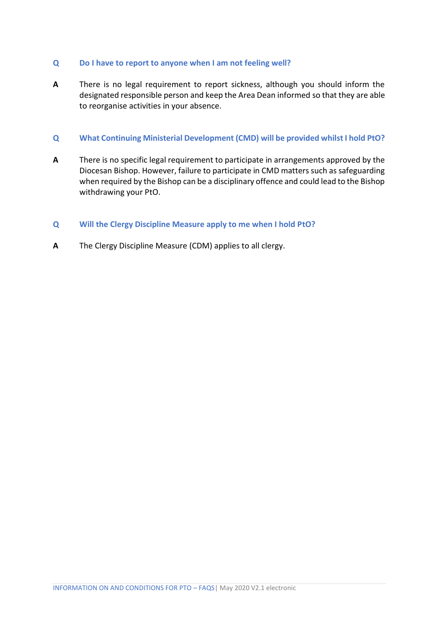#### **Q Do I have to report to anyone when I am not feeling well?**

**A** There is no legal requirement to report sickness, although you should inform the designated responsible person and keep the Area Dean informed so that they are able to reorganise activities in your absence.

#### **Q What Continuing Ministerial Development (CMD) will be provided whilst I hold PtO?**

**A** There is no specific legal requirement to participate in arrangements approved by the Diocesan Bishop. However, failure to participate in CMD matters such as safeguarding when required by the Bishop can be a disciplinary offence and could lead to the Bishop withdrawing your PtO.

#### **Q Will the Clergy Discipline Measure apply to me when I hold PtO?**

**A** The Clergy Discipline Measure (CDM) applies to all clergy.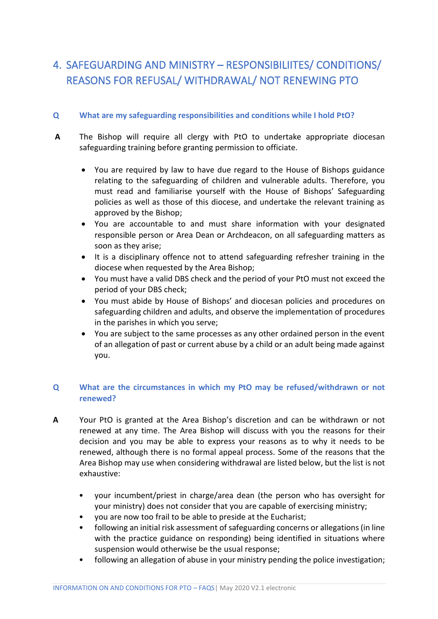# <span id="page-7-0"></span>4. SAFEGUARDING AND MINISTRY – RESPONSIBILIITES/ CONDITIONS/ REASONS FOR REFUSAL/ WITHDRAWAL/ NOT RENEWING PTO

## **Q What are my safeguarding responsibilities and conditions while I hold PtO?**

- **A** The Bishop will require all clergy with PtO to undertake appropriate diocesan safeguarding training before granting permission to officiate.
	- You are required by law to have due regard to the House of Bishops guidance relating to the safeguarding of children and vulnerable adults. Therefore, you must read and familiarise yourself with the House of Bishops' Safeguarding policies as well as those of this diocese, and undertake the relevant training as approved by the Bishop;
	- You are accountable to and must share information with your designated responsible person or Area Dean or Archdeacon, on all safeguarding matters as soon as they arise;
	- It is a disciplinary offence not to attend safeguarding refresher training in the diocese when requested by the Area Bishop;
	- You must have a valid DBS check and the period of your PtO must not exceed the period of your DBS check;
	- You must abide by House of Bishops' and diocesan policies and procedures on safeguarding children and adults, and observe the implementation of procedures in the parishes in which you serve;
	- You are subject to the same processes as any other ordained person in the event of an allegation of past or current abuse by a child or an adult being made against you.

## **Q What are the circumstances in which my PtO may be refused/withdrawn or not renewed?**

- **A** Your PtO is granted at the Area Bishop's discretion and can be withdrawn or not renewed at any time. The Area Bishop will discuss with you the reasons for their decision and you may be able to express your reasons as to why it needs to be renewed, although there is no formal appeal process. Some of the reasons that the Area Bishop may use when considering withdrawal are listed below, but the list is not exhaustive:
	- your incumbent/priest in charge/area dean (the person who has oversight for your ministry) does not consider that you are capable of exercising ministry;
	- you are now too frail to be able to preside at the Eucharist;
	- following an initial risk assessment of safeguarding concerns or allegations (in line with the practice guidance on responding) being identified in situations where suspension would otherwise be the usual response;
	- following an allegation of abuse in your ministry pending the police investigation;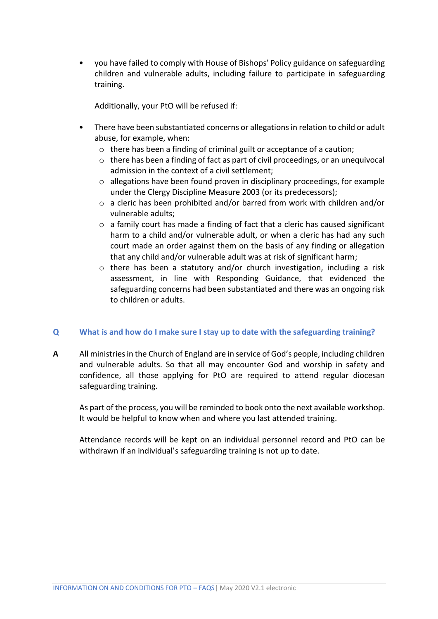• you have failed to comply with House of Bishops' Policy guidance on safeguarding children and vulnerable adults, including failure to participate in safeguarding training.

Additionally, your PtO will be refused if:

- There have been substantiated concerns or allegations in relation to child or adult abuse, for example, when:
	- o there has been a finding of criminal guilt or acceptance of a caution;
	- o there has been a finding of fact as part of civil proceedings, or an unequivocal admission in the context of a civil settlement;
	- o allegations have been found proven in disciplinary proceedings, for example under the Clergy Discipline Measure 2003 (or its predecessors);
	- $\circ$  a cleric has been prohibited and/or barred from work with children and/or vulnerable adults;
	- $\circ$  a family court has made a finding of fact that a cleric has caused significant harm to a child and/or vulnerable adult, or when a cleric has had any such court made an order against them on the basis of any finding or allegation that any child and/or vulnerable adult was at risk of significant harm;
	- $\circ$  there has been a statutory and/or church investigation, including a risk assessment, in line with Responding Guidance, that evidenced the safeguarding concerns had been substantiated and there was an ongoing risk to children or adults.

## **Q What is and how do I make sure I stay up to date with the safeguarding training?**

**A** All ministries in the Church of England are in service of God's people, including children and vulnerable adults. So that all may encounter God and worship in safety and confidence, all those applying for PtO are required to attend regular diocesan safeguarding training.

As part of the process, you will be reminded to book onto the next available workshop. It would be helpful to know when and where you last attended training.

Attendance records will be kept on an individual personnel record and PtO can be withdrawn if an individual's safeguarding training is not up to date.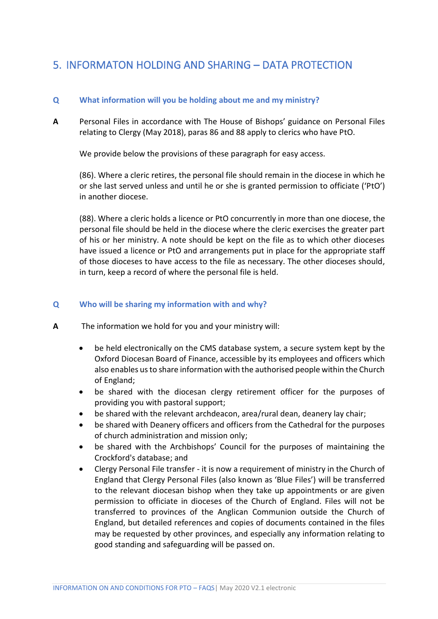## <span id="page-9-0"></span>5. INFORMATON HOLDING AND SHARING – DATA PROTECTION

#### **Q What information will you be holding about me and my ministry?**

**A** Personal Files in accordance with The House of Bishops' guidance on Personal Files relating to Clergy (May 2018), paras 86 and 88 apply to clerics who have PtO.

We provide below the provisions of these paragraph for easy access.

(86). Where a cleric retires, the personal file should remain in the diocese in which he or she last served unless and until he or she is granted permission to officiate ('PtO') in another diocese.

(88). Where a cleric holds a licence or PtO concurrently in more than one diocese, the personal file should be held in the diocese where the cleric exercises the greater part of his or her ministry. A note should be kept on the file as to which other dioceses have issued a licence or PtO and arrangements put in place for the appropriate staff of those dioceses to have access to the file as necessary. The other dioceses should, in turn, keep a record of where the personal file is held.

#### **Q Who will be sharing my information with and why?**

- **A** The information we hold for you and your ministry will:
	- be held electronically on the CMS database system, a secure system kept by the Oxford Diocesan Board of Finance, accessible by its employees and officers which also enables us to share information with the authorised people within the Church of England;
	- be shared with the diocesan clergy retirement officer for the purposes of providing you with pastoral support;
	- be shared with the relevant archdeacon, area/rural dean, deanery lay chair;
	- be shared with Deanery officers and officers from the Cathedral for the purposes of church administration and mission only;
	- be shared with the Archbishops' Council for the purposes of maintaining the Crockford's database; and
	- Clergy Personal File transfer it is now a requirement of ministry in the Church of England that Clergy Personal Files (also known as 'Blue Files') will be transferred to the relevant diocesan bishop when they take up appointments or are given permission to officiate in dioceses of the Church of England. Files will not be transferred to provinces of the Anglican Communion outside the Church of England, but detailed references and copies of documents contained in the files may be requested by other provinces, and especially any information relating to good standing and safeguarding will be passed on.